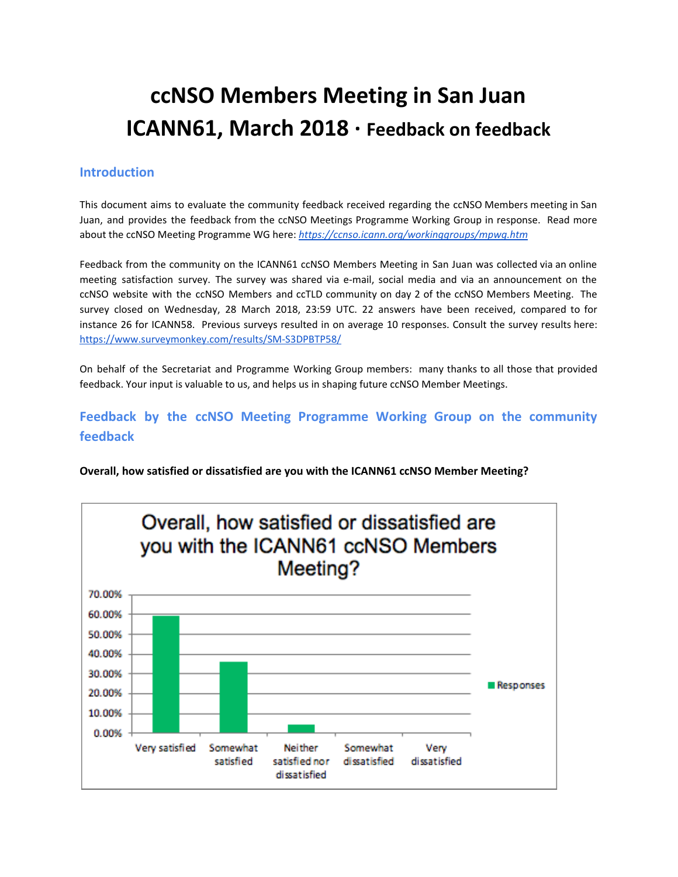# **ccNSO Members Meeting in San Juan ICANN61, March 2018 · Feedback on feedback**

## **Introduction**

This document aims to evaluate the community feedback received regarding the ccNSO Members meeting in San Juan, and provides the feedback from the ccNSO Meetings Programme Working Group in response. Read more about the ccNSO Meeting Programme WG here: *<https://ccnso.icann.org/workinggroups/mpwg.htm>*

Feedback from the community on the ICANN61 ccNSO Members Meeting in San Juan was collected via an online meeting satisfaction survey. The survey was shared via e-mail, social media and via an announcement on the ccNSO website with the ccNSO Members and ccTLD community on day 2 of the ccNSO Members Meeting. The survey closed on Wednesday, 28 March 2018, 23:59 UTC. 22 answers have been received, compared to for instance 26 for ICANN58. Previous surveys resulted in on average 10 responses. Consult the survey results here: <https://www.surveymonkey.com/results/SM-S3DPBTP58/>

On behalf of the Secretariat and Programme Working Group members: many thanks to all those that provided feedback. Your input is valuable to us, and helps us in shaping future ccNSO Member Meetings.

## **Feedback by the ccNSO Meeting Programme Working Group on the community feedback**

**Overall, how satisfied or dissatisfied are you with the ICANN61 ccNSO Member Meeting?**

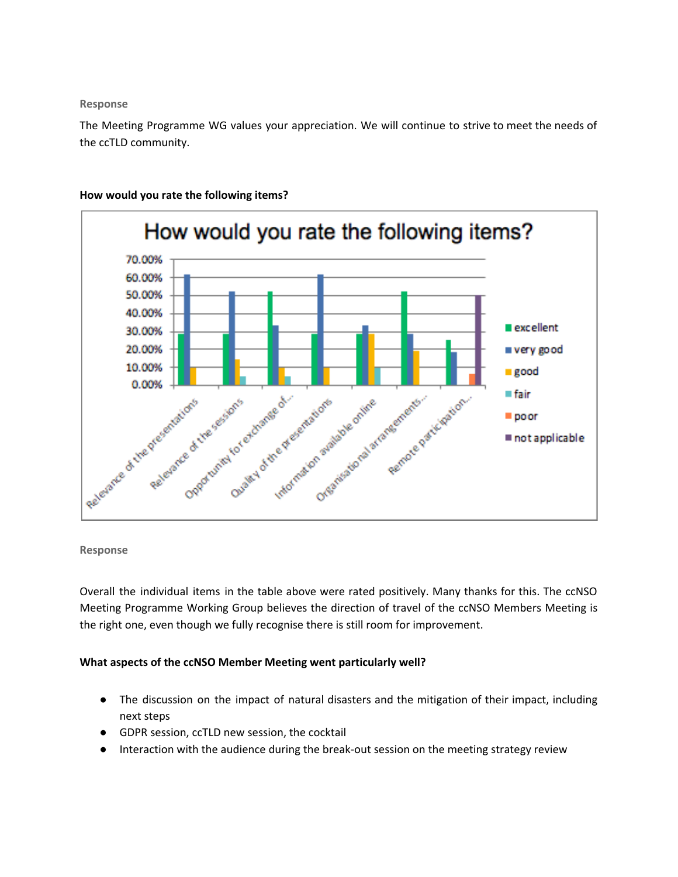#### **Response**

The Meeting Programme WG values your appreciation. We will continue to strive to meet the needs of the ccTLD community.



## **How would you rate the following items?**

## **Response**

Overall the individual items in the table above were rated positively. Many thanks for this. The ccNSO Meeting Programme Working Group believes the direction of travel of the ccNSO Members Meeting is the right one, even though we fully recognise there is still room for improvement.

## **What aspects of the ccNSO Member Meeting went particularly well?**

- The discussion on the impact of natural disasters and the mitigation of their impact, including next steps
- GDPR session, ccTLD new session, the cocktail
- Interaction with the audience during the break-out session on the meeting strategy review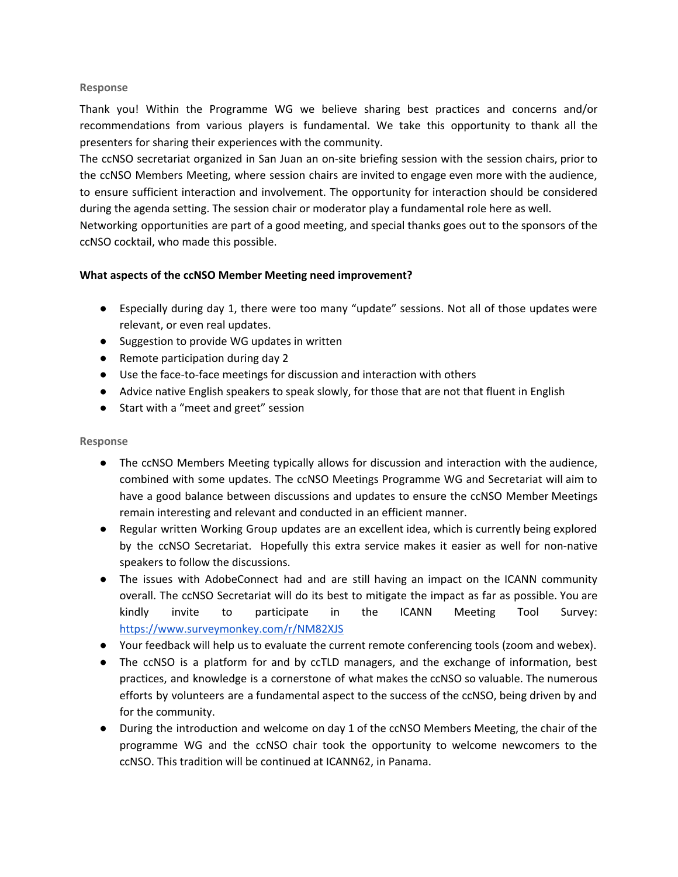### **Response**

Thank you! Within the Programme WG we believe sharing best practices and concerns and/or recommendations from various players is fundamental. We take this opportunity to thank all the presenters for sharing their experiences with the community.

The ccNSO secretariat organized in San Juan an on-site briefing session with the session chairs, prior to the ccNSO Members Meeting, where session chairs are invited to engage even more with the audience, to ensure sufficient interaction and involvement. The opportunity for interaction should be considered during the agenda setting. The session chair or moderator play a fundamental role here as well.

Networking opportunities are part of a good meeting, and special thanks goes out to the sponsors of the ccNSO cocktail, who made this possible.

## **What aspects of the ccNSO Member Meeting need improvement?**

- Especially during day 1, there were too many "update" sessions. Not all of those updates were relevant, or even real updates.
- Suggestion to provide WG updates in written
- Remote participation during day 2
- Use the face-to-face meetings for discussion and interaction with others
- Advice native English speakers to speak slowly, for those that are not that fluent in English
- Start with a "meet and greet" session

## **Response**

- The ccNSO Members Meeting typically allows for discussion and interaction with the audience, combined with some updates. The ccNSO Meetings Programme WG and Secretariat will aim to have a good balance between discussions and updates to ensure the ccNSO Member Meetings remain interesting and relevant and conducted in an efficient manner.
- Regular written Working Group updates are an excellent idea, which is currently being explored by the ccNSO Secretariat. Hopefully this extra service makes it easier as well for non-native speakers to follow the discussions.
- The issues with AdobeConnect had and are still having an impact on the ICANN community overall. The ccNSO Secretariat will do its best to mitigate the impact as far as possible. You are kindly invite to participate in the ICANN Meeting Tool Survey: <https://www.surveymonkey.com/r/NM82XJS>
- Your feedback will help us to evaluate the current remote conferencing tools (zoom and webex).
- The ccNSO is a platform for and by ccTLD managers, and the exchange of information, best practices, and knowledge is a cornerstone of what makes the ccNSO so valuable. The numerous efforts by volunteers are a fundamental aspect to the success of the ccNSO, being driven by and for the community.
- During the introduction and welcome on day 1 of the ccNSO Members Meeting, the chair of the programme WG and the ccNSO chair took the opportunity to welcome newcomers to the ccNSO. This tradition will be continued at ICANN62, in Panama.